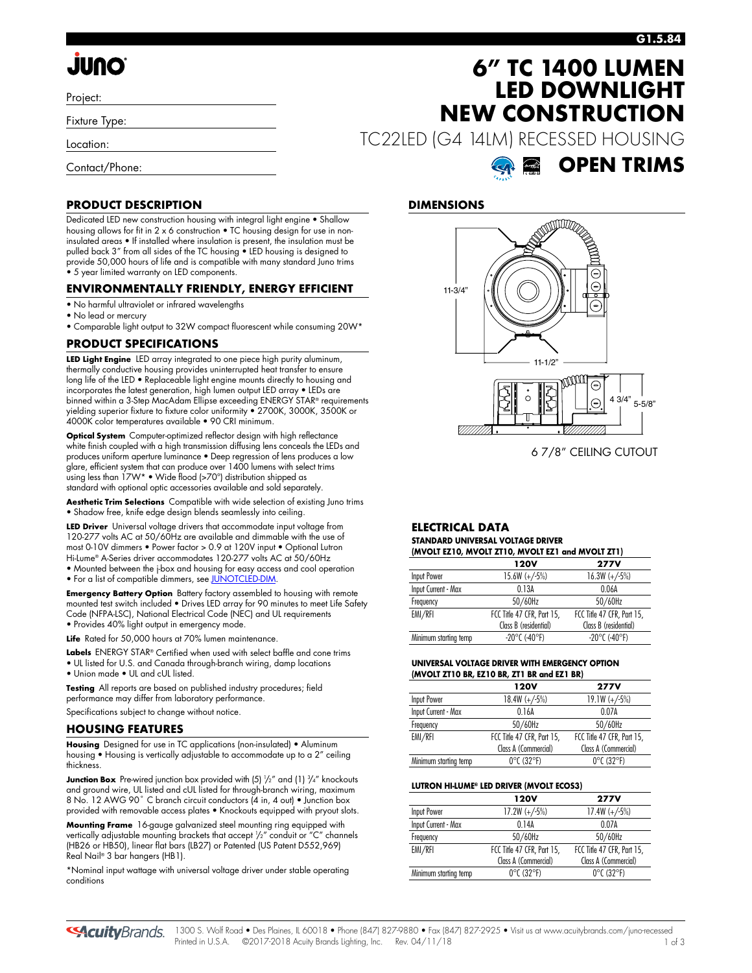# **JUNO**

Project:

Fixture Type:

Location:

Contact/Phone:

### **G1.5.84**

**OPEN TRIMS**

## **6" TC 1400 LUMEN LED DOWNLIGHT NEW CONSTRUCTION**

TC22LED (G4 14LM) RECESSED HOUSING

### **DIMENSIONS**



6 7/8" CEILING CUTOUT

#### **ELECTRICAL DATA STANDARD UNIVERSAL VOLTAGE DRIVER (MVOLT EZ10, MVOLT ZT10, MVOLT EZ1 and MVOLT ZT1)**

| $(MVULI ELIO, MVOLI LIIO, MVOLI ELI GIO NVOLI ZII)$ |                            |                            |  |  |  |
|-----------------------------------------------------|----------------------------|----------------------------|--|--|--|
|                                                     | 120V                       | <b>277V</b>                |  |  |  |
| Input Power                                         | $15.6W (+/-5%)$            | $16.3W (+/-5%)$            |  |  |  |
| Input Current - Max                                 | 0.13A                      | 0.06A                      |  |  |  |
| Frequency                                           | 50/60Hz                    | 50/60Hz                    |  |  |  |
| EMI/RFI                                             | FCC Title 47 CFR, Part 15, | FCC Title 47 CFR, Part 15, |  |  |  |
|                                                     | Class B (residential)      | Class B (residential)      |  |  |  |
| Minimum starting temp                               | $-20^{\circ}$ C (-40°F)    | $-20^{\circ}$ C (-40°F)    |  |  |  |
|                                                     |                            |                            |  |  |  |

### **UNIVERSAL VOLTAGE DRIVER WITH EMERGENCY OPTION (MVOLT ZT10 BR, EZ10 BR, ZT1 BR and EZ1 BR)**

|                       | 120V                            | <b>277V</b>                     |
|-----------------------|---------------------------------|---------------------------------|
| Input Power           | $18.4W (+/5%)$                  | $19.1W (+/-5%)$                 |
| Input Current - Max   | 0.16A                           | 0.07A                           |
| Frequency             | 50/60Hz                         | 50/60Hz                         |
| EMI/RFI               | FCC Title 47 CFR, Part 15,      | FCC Title 47 CFR, Part 15,      |
|                       | Class A (Commercial)            | Class A (Commercial)            |
| Minimum starting temp | $0^{\circ}$ C (32 $^{\circ}$ F) | $0^{\circ}$ C (32 $^{\circ}$ F) |

#### **LUTRON HI-LUME® LED DRIVER (MVOLT ECOS3)**

|                       | 120V                            | <b>277V</b>                     |
|-----------------------|---------------------------------|---------------------------------|
| <b>Input Power</b>    | $17.2W (+/-5%)$                 | $17.4W (+/-5%)$                 |
| Input Current - Max   | 014A                            | 0.07A                           |
| Frequency             | 50/60Hz                         | 50/60Hz                         |
| EMI/RFI               | FCC Title 47 CFR, Part 15,      | FCC Title 47 CFR, Part 15,      |
|                       | Class A (Commercial)            | Class A (Commercial)            |
| Minimum starting temp | $0^{\circ}$ C (32 $^{\circ}$ F) | $0^{\circ}$ C (32 $^{\circ}$ F) |

### **PRODUCT DESCRIPTION**

Dedicated LED new construction housing with integral light engine • Shallow housing allows for fit in 2 x 6 construction • TC housing design for use in noninsulated areas • If installed where insulation is present, the insulation must be pulled back 3" from all sides of the TC housing • LED housing is designed to provide 50,000 hours of life and is compatible with many standard Juno trims • 5 year limited warranty on LED components.

### **ENVIRONMENTALLY FRIENDLY, ENERGY EFFICIENT**

- No harmful ultraviolet or infrared wavelengths
- No lead or mercury
- Comparable light output to 32W compact fluorescent while consuming 20W\*

### **PRODUCT SPECIFICATIONS**

**LED Light Engine** LED array integrated to one piece high purity aluminum, thermally conductive housing provides uninterrupted heat transfer to ensure long life of the LED • Replaceable light engine mounts directly to housing and incorporates the latest generation, high lumen output LED array • LEDs are binned within a 3-Step MacAdam Ellipse exceeding ENERGY STAR® requirements yielding superior fixture to fixture color uniformity • 2700K, 3000K, 3500K or 4000K color temperatures available • 90 CRI minimum.

**Optical System** Computer-optimized reflector design with high reflectance white finish coupled with a high transmission diffusing lens conceals the LEDs and produces uniform aperture luminance • Deep regression of lens produces a low glare, efficient system that can produce over 1400 lumens with select trims using less than 17W\* • Wide flood (>70°) distribution shipped as standard with optional optic accessories available and sold separately.

**Aesthetic Trim Selections** Compatible with wide selection of existing Juno trims • Shadow free, knife edge design blends seamlessly into ceiling.

**LED Driver** Universal voltage drivers that accommodate input voltage from 120-277 volts AC at 50/60Hz are available and dimmable with the use of most 0-10V dimmers • Power factor > 0.9 at 120V input • Optional Lutron Hi-Lume® A-Series driver accommodates 120-277 volts AC at 50/60Hz • Mounted between the j-box and housing for easy access and cool operation

• For a list of compatible dimmers, se[e JUNOTCLED-DIM.](http://www.acuitybrands.com/shell/-/media/Files/Acuity/Other/JUNOICLED-DIM.pdf)

**Emergency Battery Option** Battery factory assembled to housing with remote mounted test switch included • Drives LED array for 90 minutes to meet Life Safety Code (NFPA-LSC), National Electrical Code (NEC) and UL requirements • Provides 40% light output in emergency mode.

**Life** Rated for 50,000 hours at 70% lumen maintenance.

**Labels** ENERGY STAR® Certified when used with select baffle and cone trims • UL listed for U.S. and Canada through-branch wiring, damp locations • Union made • UL and cUL listed.

**Testing** All reports are based on published industry procedures; field performance may differ from laboratory performance. Specifications subject to change without notice.

### **HOUSING FEATURES**

**Housing** Designed for use in TC applications (non-insulated) • Aluminum housing • Housing is vertically adjustable to accommodate up to a 2" ceiling thickness.

**Junction Box** Pre-wired junction box provided with (5)  $\frac{1}{2}$ " and (1)  $\frac{3}{4}$ " knockouts and ground wire, UL listed and cUL listed for through-branch wiring, maximum 8 No. 12 AWG 90° C branch circuit conductors (4 in, 4 out) • Junction box provided with removable access plates • Knockouts equipped with pryout slots.

**Mounting Frame** 16-gauge galvanized steel mounting ring equipped with vertically adjustable mounting brackets that accept 1 /2" conduit or "C" channels (HB26 or HB50), linear flat bars (LB27) or Patented (US Patent D552,969) Real Nail® 3 bar hangers (HB1).

\*Nominal input wattage with universal voltage driver under stable operating conditions

**SAcuity**Brands.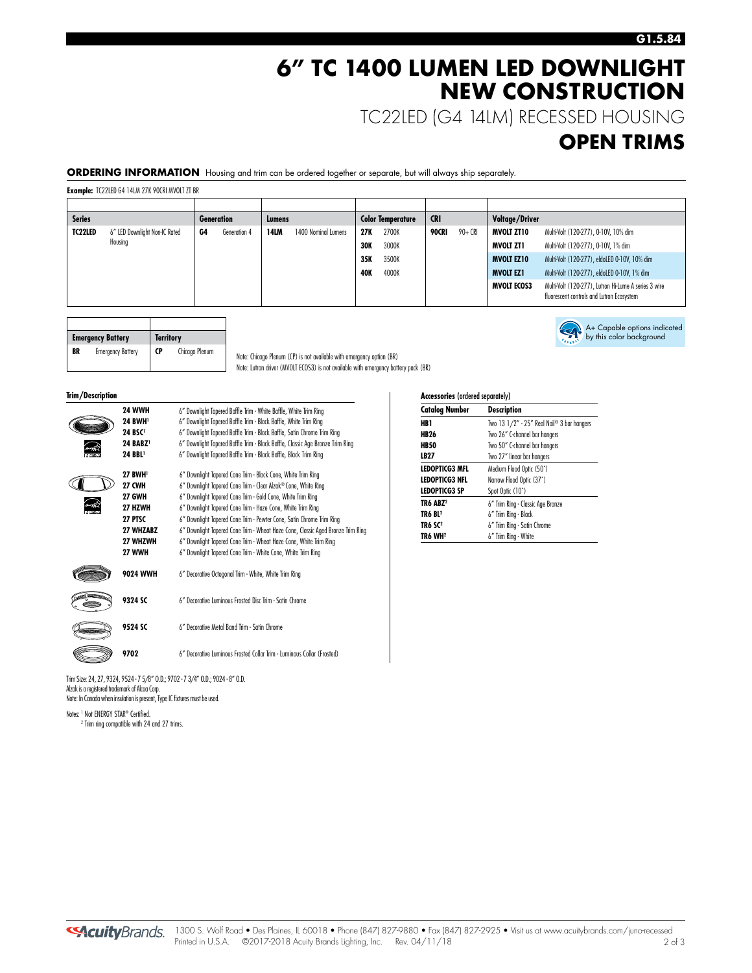### **6" TC 1400 LUMEN LED DOWNLIGHT NEW CONSTRUCTION**

TC22LED (G4 14LM) RECESSED HOUSING

### **OPEN TRIMS**

A+ Capable options indicated by this color background

**ORDERING INFORMATION** Housing and trim can be ordered together or separate, but will always ship separately.

**Example:** TC22LED G4 14LM 27K 90CRI MVOLT ZT BR

| <b>Series</b> |                               |    | Generation   | Lumens      |                     |            | <b>Color Temperature</b> | <b>CRI</b> |          | Voltage/Driver     |                                                                                                   |
|---------------|-------------------------------|----|--------------|-------------|---------------------|------------|--------------------------|------------|----------|--------------------|---------------------------------------------------------------------------------------------------|
| TC22LED       | 6" LED Downlight Non-IC Rated | G4 | Generation 4 | <b>14LM</b> | 1400 Nominal Lumens | 27K        | 2700K                    | 90CRI      | $90+CRI$ | MVOLT ZT10         | Multi-Volt (120-277), 0-10V, 10% dim                                                              |
|               | Housing                       |    |              |             |                     | <b>30K</b> | 3000K                    |            |          | MVOLT ZT1          | Multi-Volt (120-277), 0-10V, 1% dim                                                               |
|               |                               |    |              |             |                     | 35K        | 3500K                    |            |          | <b>MVOLT EZ10</b>  | Multi-Volt (120-277), eldoLED 0-10V, 10% dim                                                      |
|               |                               |    |              |             |                     | 40K        | 4000K                    |            |          | <b>MVOLT EZ1</b>   | Multi-Volt (120-277), eldoLED 0-10V, 1% dim                                                       |
|               |                               |    |              |             |                     |            |                          |            |          | <b>MVOLT ECOS3</b> | Multi-Volt (120-277), Lutron Hi-Lume A series 3 wire<br>fluorescent controls and Lutron Ecosystem |

|    | <b>Emergency Battery</b> | <b>Territory</b> |                |
|----|--------------------------|------------------|----------------|
| BR | <b>Emergency Battery</b> | CP               | Chicago Plenum |

Note: Chicago Plenum (CP) is not available with emergency option (BR) Note: Lutron driver (MVOLT ECOS3) is not available with emergency battery pack (BR)

**Trim/Description** 

| <b>24 WWH</b><br><b>24 BWH</b><br>24 BSC <sup>1</sup><br>24 BABZ <sup>1</sup><br>24 BBL <sup>1</sup>            | 6" Downlight Tapered Baffle Trim - White Baffle, White Trim Ring<br>6" Downlight Tapered Baffle Trim - Black Baffle, White Trim Ring<br>6" Downlight Tapered Baffle Trim - Black Baffle, Satin Chrome Trim Ring<br>6" Downlight Tapered Baffle Trim - Black Baffle, Classic Age Bronze Trim Ring<br>6" Downlight Tapered Baffle Trim - Black Baffle, Black Trim Ring                                                                                                                                                                                         |
|-----------------------------------------------------------------------------------------------------------------|--------------------------------------------------------------------------------------------------------------------------------------------------------------------------------------------------------------------------------------------------------------------------------------------------------------------------------------------------------------------------------------------------------------------------------------------------------------------------------------------------------------------------------------------------------------|
| <b>27 BWH</b><br><b>27 CWH</b><br><b>27 GWH</b><br>27 HZWH<br>27 PTSC<br>27 WHZABZ<br><b>27 WHZWH</b><br>27 WWH | 6" Downlight Tapered Cone Trim - Black Cone, White Trim Ring<br>6" Downlight Tapered Cone Trim - Clear Alzak® Cone, White Ring<br>6" Downlight Tapered Cone Trim - Gold Cone, White Trim Ring<br>6" Downlight Tapered Cone Trim - Haze Cone, White Trim Ring<br>6" Downlight Tapered Cone Trim - Pewter Cone, Satin Chrome Trim Ring<br>6" Downlight Tapered Cone Trim - Wheat Haze Cone, Classic Aged Bronze Trim Ring<br>6" Downlight Tapered Cone Trim - Wheat Haze Cone, White Trim Ring<br>6" Downlight Tapered Cone Trim - White Cone, White Trim Ring |
| <b>9024 WWH</b>                                                                                                 | 6" Decorative Octogonal Trim - White, White Trim Ring                                                                                                                                                                                                                                                                                                                                                                                                                                                                                                        |
| 9324 SC                                                                                                         | 6" Decorative Luminous Erosted Disc Trim - Satin Chrome                                                                                                                                                                                                                                                                                                                                                                                                                                                                                                      |
| 9524 SC                                                                                                         | 6" Decorative Metal Band Trim - Satin Chrome                                                                                                                                                                                                                                                                                                                                                                                                                                                                                                                 |
| 9702                                                                                                            | 6" Decorative Luminous Frosted Collar Trim - Luminous Collar (Frosted)                                                                                                                                                                                                                                                                                                                                                                                                                                                                                       |
|                                                                                                                 |                                                                                                                                                                                                                                                                                                                                                                                                                                                                                                                                                              |

Trim Size: 24, 27, 9324, 9524 - 7 5/8" O.D.; 9702 - 7 3/4" O.D.; 9024 - 8" O.D. Alzak is a registered trademark of Alcoa Corp. Note: In Canada when insulation is present, Type IC fixtures must be used.

Notes: <sup>1</sup> Not ENERGY STAR® Certified. <sup>2</sup> Trim ring compatible with 24 and 27 trims.

| <b>Accessories (ordered separately)</b> |                                            |  |  |  |
|-----------------------------------------|--------------------------------------------|--|--|--|
| <b>Catalog Number</b>                   | <b>Description</b>                         |  |  |  |
| HB 1                                    | Two 13 1/2" - 25" Real Nail® 3 bar hangers |  |  |  |
| <b>HB26</b>                             | Two 26" C-channel bar hangers              |  |  |  |
| <b>HB50</b>                             | Two 50" C-channel bar hangers              |  |  |  |
| LB27                                    | Two 27" linear bar hangers                 |  |  |  |
| <b>LEDOPTICG3 MFL</b>                   | Medium Flood Optic (50°)                   |  |  |  |
| LEDOPTICG3 NFL                          | Narrow Flood Optic (37°)                   |  |  |  |
| <b>LEDOPTICG3 SP</b>                    | Spot Optic (10°)                           |  |  |  |
| TR6 ABZ <sup>2</sup>                    | 6" Trim Ring - Classic Age Bronze          |  |  |  |
| TR6 BL2                                 | 6" Trim Ring - Black                       |  |  |  |
| TR6 SC <sup>2</sup>                     | 6" Trim Ring - Satin Chrome                |  |  |  |
| TR6 WH2                                 | 6" Trim Ring - White                       |  |  |  |